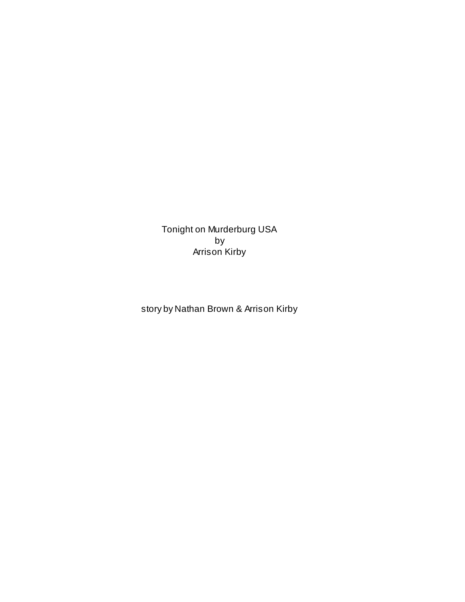Tonight on Murderburg USA by Arrison Kirby

story by Nathan Brown & Arrison Kirby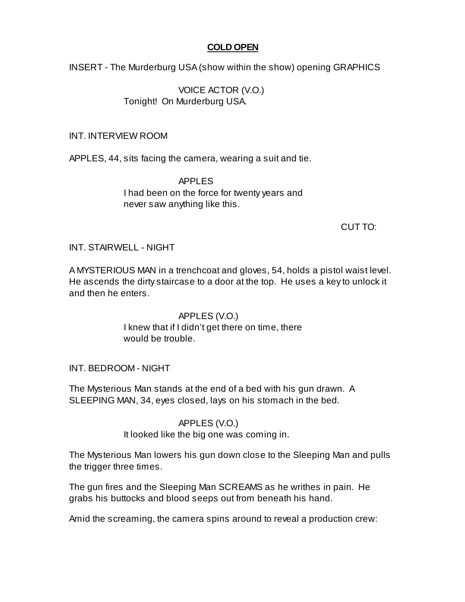## **COLD OPEN**

INSERT - The Murderburg USA (show within the show) opening GRAPHICS

VOICE ACTOR (V.O.) Tonight! On Murderburg USA.

### INT. INTERVIEW ROOM

APPLES, 44, sits facing the camera, wearing a suit and tie.

APPLES I had been on the force for twenty years and never saw anything like this.

CUT TO:

## INT. STAIRWELL - NIGHT

A MYSTERIOUS MAN in a trenchcoat and gloves, 54, holds a pistol waist level. He ascends the dirty staircase to a door at the top. He uses a key to unlock it and then he enters.

> APPLES (V.O.) I knew that if I didn't get there on time, there would be trouble.

## INT. BEDROOM - NIGHT

The Mysterious Man stands at the end of a bed with his gun drawn. A SLEEPING MAN, 34, eyes closed, lays on his stomach in the bed.

## APPLES (V.O.)

It looked like the big one was coming in.

The Mysterious Man lowers his gun down close to the Sleeping Man and pulls the trigger three times.

The gun fires and the Sleeping Man SCREAMS as he writhes in pain. He grabs his buttocks and blood seeps out from beneath his hand.

Amid the screaming, the camera spins around to reveal a production crew: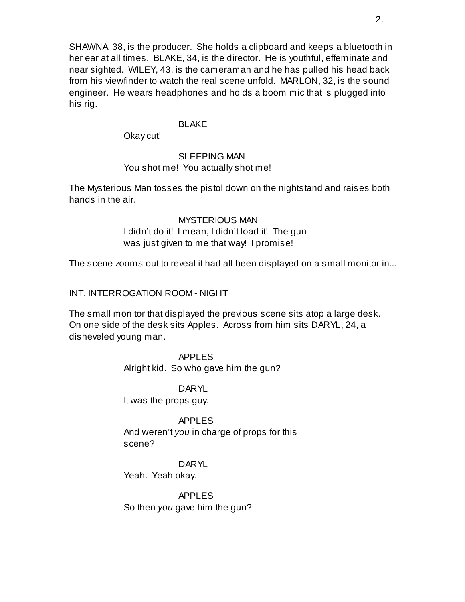SHAWNA, 38, is the producer. She holds a clipboard and keeps a bluetooth in her ear at all times. BLAKE, 34, is the director. He is youthful, effeminate and near sighted. WILEY, 43, is the cameraman and he has pulled his head back from his viewfinder to watch the real scene unfold. MARLON, 32, is the sound engineer. He wears headphones and holds a boom mic that is plugged into his rig.

#### BLAKE

Okay cut!

# SLEEPING MAN

## You shot me! You actually shot me!

The Mysterious Man tosses the pistol down on the nightstand and raises both hands in the air.

#### MYSTERIOUS MAN

I didn't do it! I mean, I didn't load it! The gun was just given to me that way! I promise!

The scene zooms out to reveal it had all been displayed on a small monitor in...

INT. INTERROGATION ROOM - NIGHT

The small monitor that displayed the previous scene sits atop a large desk. On one side of the desk sits Apples. Across from him sits DARYL, 24, a disheveled young man.

> APPLES Alright kid. So who gave him the gun?

DARYL It was the props guy.

APPLES And weren't *you* in charge of props for this scene?

**DARYL** Yeah. Yeah okay.

APPLES So then *you* gave him the gun?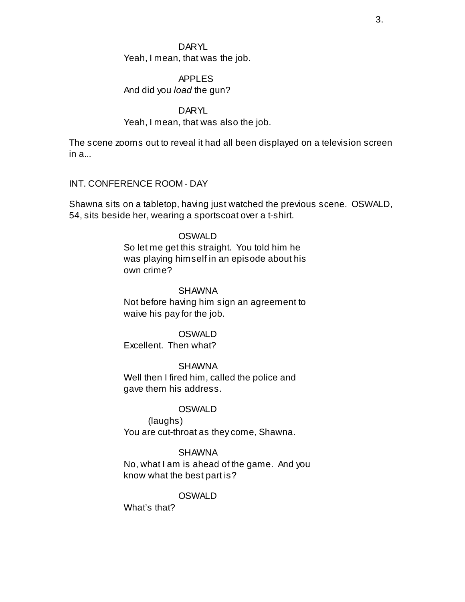#### **DARYL**

Yeah, I mean, that was the job.

# APPLES

And did you *load* the gun?

## DARYL

## Yeah, I mean, that was also the job.

The scene zooms out to reveal it had all been displayed on a television screen in a...

## INT. CONFERENCE ROOM - DAY

Shawna sits on a tabletop, having just watched the previous scene. OSWALD, 54, sits beside her, wearing a sportscoat over a t-shirt.

#### **OSWALD**

So let me get this straight. You told him he was playing himself in an episode about his own crime?

#### SHAWNA

Not before having him sign an agreement to waive his pay for the job.

#### **OSWALD**

Excellent. Then what?

## SHAWNA

Well then I fired him, called the police and gave them his address.

#### **OSWALD**

(laughs) You are cut-throat as they come, Shawna.

## SHAWNA

No, what I am is ahead of the game. And you know what the best part is?

## OSWALD

What's that?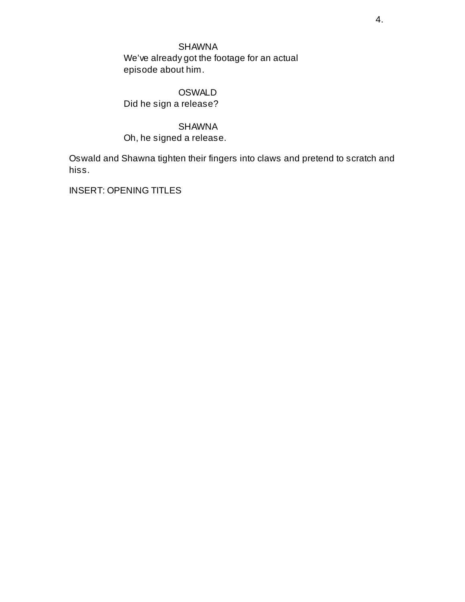# SHAWNA

We've already got the footage for an actual episode about him.

# **OSWALD**

Did he sign a release?

# SHAWNA

Oh, he signed a release.

Oswald and Shawna tighten their fingers into claws and pretend to scratch and hiss.

INSERT: OPENING TITLES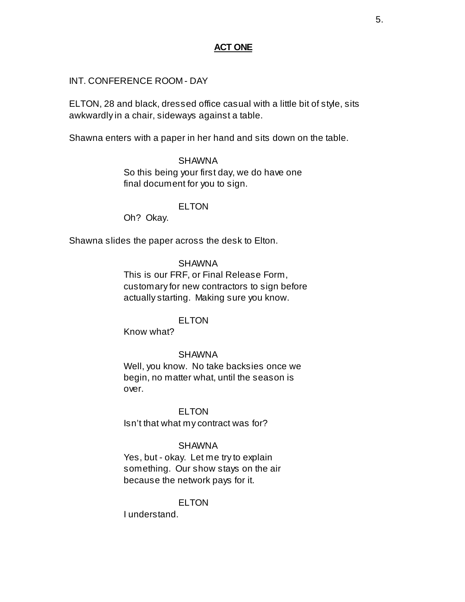## **ACT ONE**

### INT. CONFERENCE ROOM - DAY

ELTON, 28 and black, dressed office casual with a little bit of style, sits awkwardly in a chair, sideways against a table.

Shawna enters with a paper in her hand and sits down on the table.

# SHAWNA

So this being your first day, we do have one final document for you to sign.

#### ELTON

Oh? Okay.

Shawna slides the paper across the desk to Elton.

#### SHAWNA

This is our FRF, or Final Release Form, customary for new contractors to sign before actually starting. Making sure you know.

## ELTON

Know what?

#### SHAWNA

Well, you know. No take backsies once we begin, no matter what, until the season is over.

#### **ELTON**

Isn't that what my contract was for?

#### SHAWNA

Yes, but - okay. Let me try to explain something. Our show stays on the air because the network pays for it.

## **ELTON**

I understand.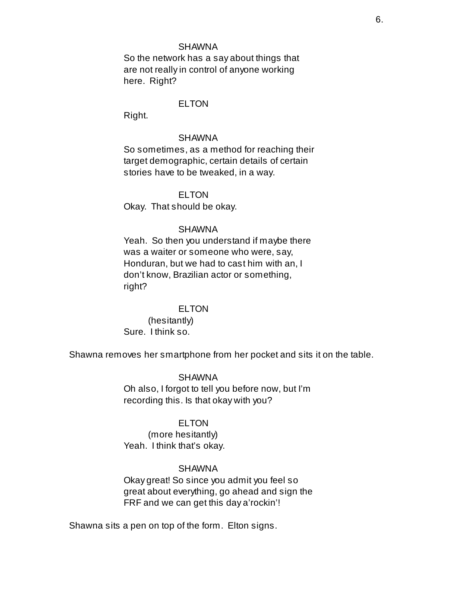#### SHAWNA

So the network has a say about things that are not really in control of anyone working here. Right?

#### ELTON

Right.

#### SHAWNA

So sometimes, as a method for reaching their target demographic, certain details of certain stories have to be tweaked, in a way.

#### ELTON

Okay. That should be okay.

#### SHAWNA

Yeah. So then you understand if maybe there was a waiter or someone who were, say, Honduran, but we had to cast him with an, I don't know, Brazilian actor or something, right?

#### ELTON

(hesitantly) Sure. I think so.

Shawna removes her smartphone from her pocket and sits it on the table.

**SHAWNA** Oh also, I forgot to tell you before now, but I'm recording this. Is that okay with you?

#### ELTON

(more hesitantly) Yeah. I think that's okay.

#### SHAWNA

Okay great! So since you admit you feel so great about everything, go ahead and sign the FRF and we can get this day a'rockin'!

Shawna sits a pen on top of the form. Elton signs.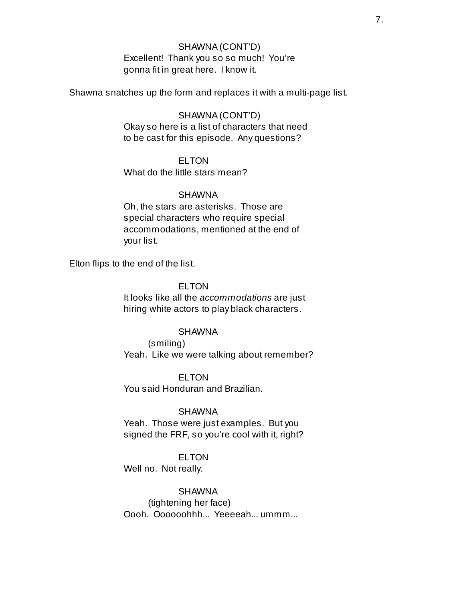## SHAWNA(CONT'D) Excellent! Thank you so so much! You're gonna fit in great here. I know it.

Shawna snatches up the form and replaces it with a multi-page list.

SHAWNA(CONT'D) Okay so here is a list of characters that need to be cast for this episode. Any questions?

**ELTON** 

What do the little stars mean?

#### SHAWNA

Oh, the stars are asterisks. Those are special characters who require special accommodations, mentioned at the end of your list.

Elton flips to the end of the list.

ELTON

It looks like all the *accommodations* are just hiring white actors to play black characters.

#### SHAWNA

(smiling) Yeah. Like we were talking about remember?

#### **ELTON**

You said Honduran and Brazilian.

#### SHAWNA

Yeah. Those were just examples. But you signed the FRF, so you're cool with it, right?

#### **ELTON**

Well no. Not really.

SHAWNA

(tightening her face)

Oooh. Oooooohhh... Yeeeeah... ummm...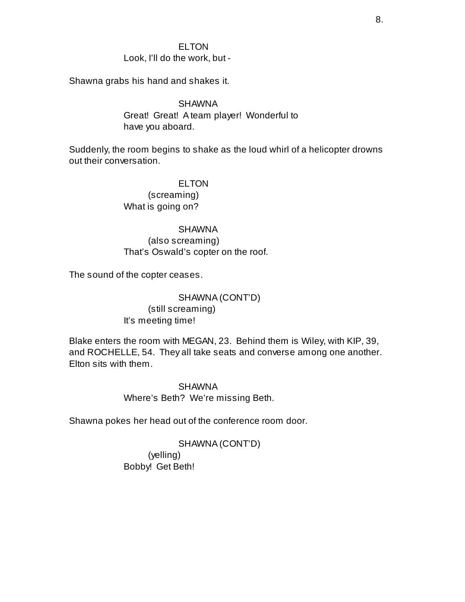### ELTON Look, I'll do the work, but -

Shawna grabs his hand and shakes it.

SHAWNA Great! Great! A team player! Wonderful to have you aboard.

Suddenly, the room begins to shake as the loud whirl of a helicopter drowns out their conversation.

> ELTON (screaming) What is going on?

# SHAWNA (also screaming) That's Oswald's copter on the roof.

The sound of the copter ceases.

## SHAWNA(CONT'D) (still screaming) It's meeting time!

Blake enters the room with MEGAN, 23. Behind them is Wiley, with KIP, 39, and ROCHELLE, 54. They all take seats and converse among one another. Elton sits with them.

> SHAWNA Where's Beth? We're missing Beth.

Shawna pokes her head out of the conference room door.

## SHAWNA(CONT'D)

(yelling) Bobby! Get Beth!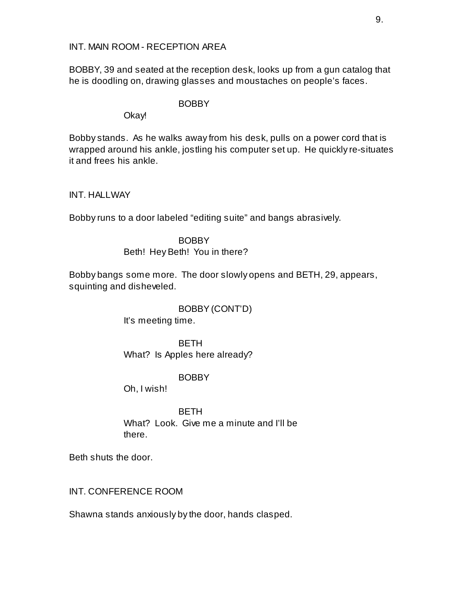INT. MAIN ROOM - RECEPTION AREA

BOBBY, 39 and seated at the reception desk, looks up from a gun catalog that he is doodling on, drawing glasses and moustaches on people's faces.

**BOBBY** 

Okay!

Bobby stands. As he walks away from his desk, pulls on a power cord that is wrapped around his ankle, jostling his computer set up. He quickly re-situates it and frees his ankle.

INT. HALLWAY

Bobby runs to a door labeled "editing suite" and bangs abrasively.

BOBBY Beth! Hey Beth! You in there?

Bobby bangs some more. The door slowly opens and BETH, 29, appears, squinting and disheveled.

> BOBBY (CONT'D) It's meeting time.

> BETH What? Is Apples here already?

> > BOBBY

Oh, I wish!

BETH What? Look. Give me a minute and I'll be there.

Beth shuts the door.

INT. CONFERENCE ROOM

Shawna stands anxiously by the door, hands clasped.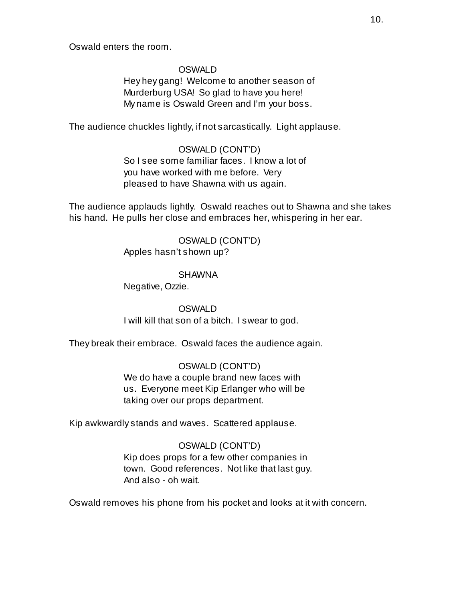Oswald enters the room.

#### OSWALD

Hey hey gang! Welcome to another season of Murderburg USA! So glad to have you here! My name is Oswald Green and I'm your boss.

The audience chuckles lightly, if not sarcastically. Light applause.

# OSWALD (CONT'D) So I see some familiar faces. I know a lot of you have worked with me before. Very pleased to have Shawna with us again.

The audience applauds lightly. Oswald reaches out to Shawna and she takes his hand. He pulls her close and embraces her, whispering in her ear.

> OSWALD (CONT'D) Apples hasn't shown up?

#### SHAWNA

Negative, Ozzie.

# OSWALD I will kill that son of a bitch. I swear to god.

They break their embrace. Oswald faces the audience again.

## OSWALD (CONT'D) We do have a couple brand new faces with us. Everyone meet Kip Erlanger who will be taking over our props department.

Kip awkwardly stands and waves. Scattered applause.

## OSWALD (CONT'D)

Kip does props for a few other companies in town. Good references. Not like that last guy. And also - oh wait.

Oswald removes his phone from his pocket and looks at it with concern.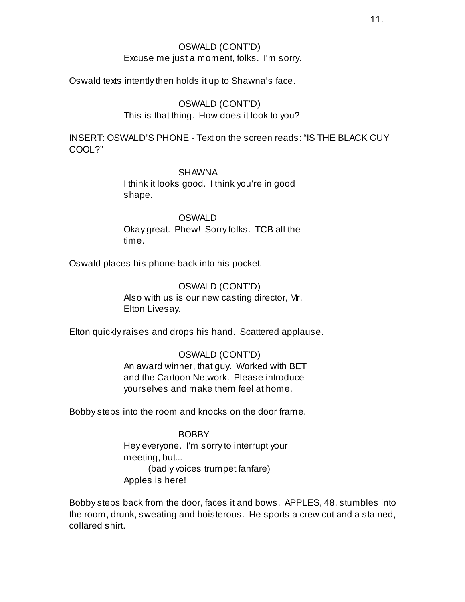## OSWALD (CONT'D) Excuse me just a moment, folks. I'm sorry.

Oswald texts intently then holds it up to Shawna's face.

## OSWALD (CONT'D) This is that thing. How does it look to you?

INSERT: OSWALD'S PHONE - Text on the screen reads: "IS THE BLACK GUY COOL?"

## SHAWNA

I think it looks good. I think you're in good shape.

OSWALD Okay great. Phew! Sorry folks. TCB all the time.

Oswald places his phone back into his pocket.

OSWALD (CONT'D) Also with us is our new casting director, Mr. Elton Livesay.

Elton quickly raises and drops his hand. Scattered applause.

# OSWALD (CONT'D) An award winner, that guy. Worked with BET and the Cartoon Network. Please introduce yourselves and make them feel at home.

Bobby steps into the room and knocks on the door frame.

BOBBY Hey everyone. I'm sorry to interrupt your meeting, but... (badly voices trumpet fanfare) Apples is here!

Bobby steps back from the door, faces it and bows. APPLES, 48, stumbles into the room, drunk, sweating and boisterous. He sports a crew cut and a stained, collared shirt.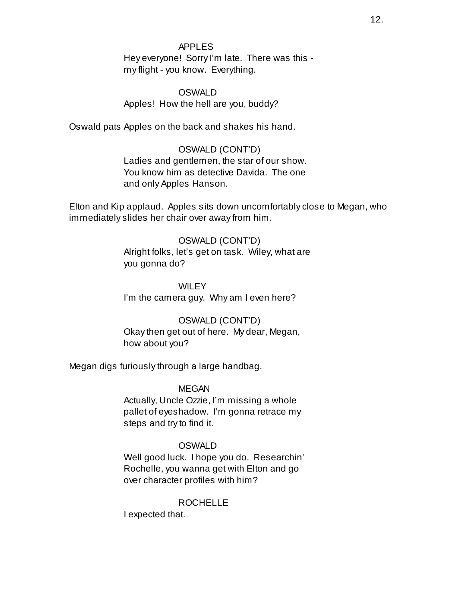#### APPLES

Hey everyone! Sorry I'm late. There was this my flight - you know. Everything.

## OSWALD Apples! How the hell are you, buddy?

Oswald pats Apples on the back and shakes his hand.

## OSWALD (CONT'D)

Ladies and gentlemen, the star of our show. You know him as detective Davida. The one and only Apples Hanson.

Elton and Kip applaud. Apples sits down uncomfortably close to Megan, who immediately slides her chair over away from him.

## OSWALD (CONT'D)

Alright folks, let's get on task. Wiley, what are you gonna do?

**WILEY** I'm the camera guy. Why am I even here?

## OSWALD (CONT'D)

Okay then get out of here. My dear, Megan, how about you?

Megan digs furiously through a large handbag.

## MEGAN

Actually, Uncle Ozzie, I'm missing a whole pallet of eyeshadow. I'm gonna retrace my steps and try to find it.

## OSWALD

Well good luck. I hope you do. Researchin' Rochelle, you wanna get with Elton and go over character profiles with him?

## ROCHELLE

I expected that.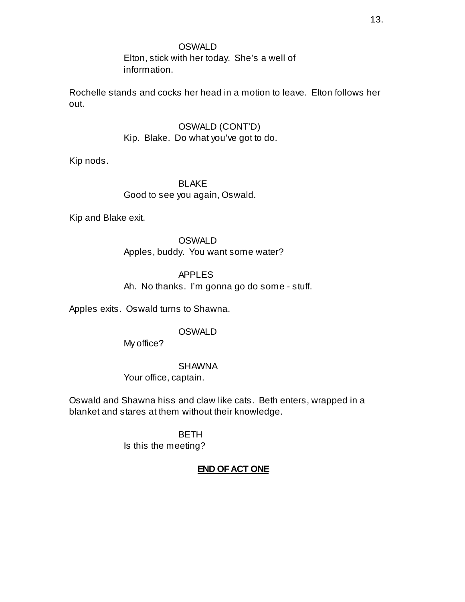Elton, stick with her today. She's a well of information.

Rochelle stands and cocks her head in a motion to leave. Elton follows her out.

> OSWALD (CONT'D) Kip. Blake. Do what you've got to do.

Kip nods.

BLAKE Good to see you again, Oswald.

Kip and Blake exit.

**OSWALD** Apples, buddy. You want some water?

APPLES Ah. No thanks. I'm gonna go do some - stuff.

Apples exits. Oswald turns to Shawna.

# OSWALD

My office?

# SHAWNA

Your office, captain.

Oswald and Shawna hiss and claw like cats. Beth enters, wrapped in a blanket and stares at them without their knowledge.

> BETH Is this the meeting?

# **END OF ACT ONE**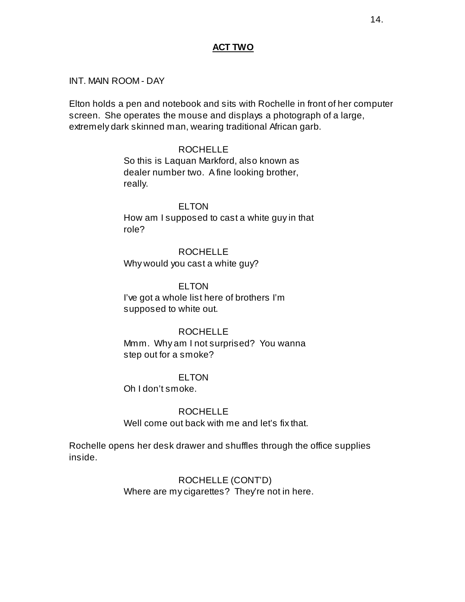## **ACT TWO**

### INT. MAIN ROOM - DAY

Elton holds a pen and notebook and sits with Rochelle in front of her computer screen. She operates the mouse and displays a photograph of a large, extremely dark skinned man, wearing traditional African garb.

#### ROCHELLE

So this is Laquan Markford, also known as dealer number two. A fine looking brother, really.

## ELTON How am I supposed to cast a white guy in that role?

ROCHELLE Why would you cast a white guy?

**ELTON** I've got a whole list here of brothers I'm supposed to white out.

#### ROCHELLE

Mmm. Why am I not surprised? You wanna step out for a smoke?

#### **ELTON**

Oh I don't smoke.

### ROCHELLE

Well come out back with me and let's fix that.

Rochelle opens her desk drawer and shuffles through the office supplies inside.

> ROCHELLE (CONT'D) Where are my cigarettes? They're not in here.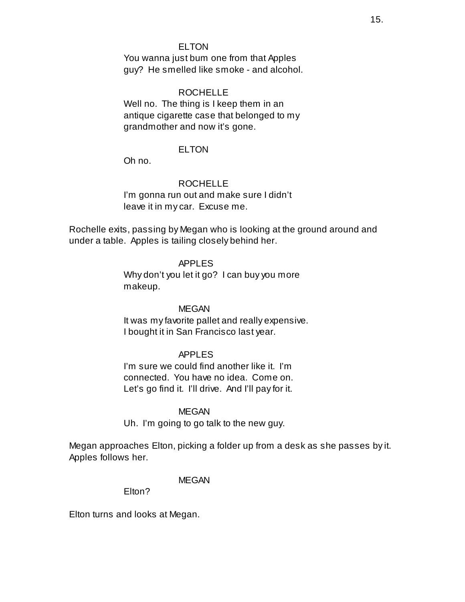### ELTON

You wanna just bum one from that Apples guy? He smelled like smoke - and alcohol.

#### ROCHELLE

Well no. The thing is I keep them in an antique cigarette case that belonged to my grandmother and now it's gone.

#### ELTON

Oh no.

#### ROCHELLE

I'm gonna run out and make sure I didn't leave it in my car. Excuse me.

Rochelle exits, passing by Megan who is looking at the ground around and under a table. Apples is tailing closely behind her.

#### APPLES

Why don't you let it go? I can buy you more makeup.

MEGAN It was my favorite pallet and really expensive. I bought it in San Francisco last year.

### APPLES

I'm sure we could find another like it. I'm connected. You have no idea. Come on. Let's go find it. I'll drive. And I'll pay for it.

#### **MEGAN**

Uh. I'm going to go talk to the new guy.

Megan approaches Elton, picking a folder up from a desk as she passes by it. Apples follows her.

#### MEGAN

Elton?

Elton turns and looks at Megan.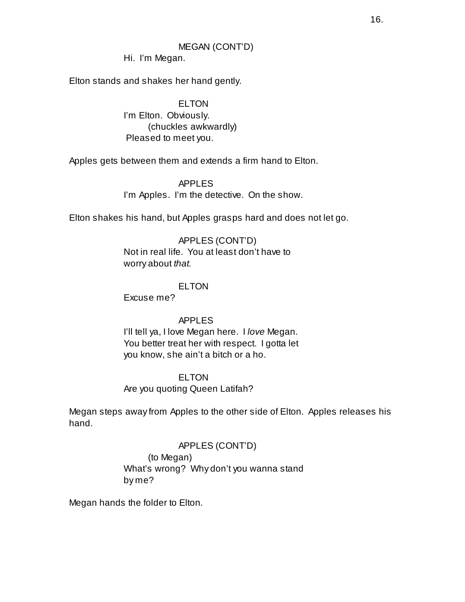# MEGAN (CONT'D)

Hi. I'm Megan.

Elton stands and shakes her hand gently.

ELTON I'm Elton. Obviously. (chuckles awkwardly) Pleased to meet you.

Apples gets between them and extends a firm hand to Elton.

APPLES I'm Apples. I'm the detective. On the show.

Elton shakes his hand, but Apples grasps hard and does not let go.

# APPLES (CONT'D) Not in real life. You at least don't have to worry about *that.*

# ELTON

Excuse me?

# APPLES

I'll tell ya, I love Megan here. I *love* Megan. You better treat her with respect. I gotta let you know, she ain't a bitch or a ho.

# **ELTON**

Are you quoting Queen Latifah?

Megan steps away from Apples to the other side of Elton. Apples releases his hand.

# APPLES (CONT'D) (to Megan) What's wrong? Why don't you wanna stand by me?

Megan hands the folder to Elton.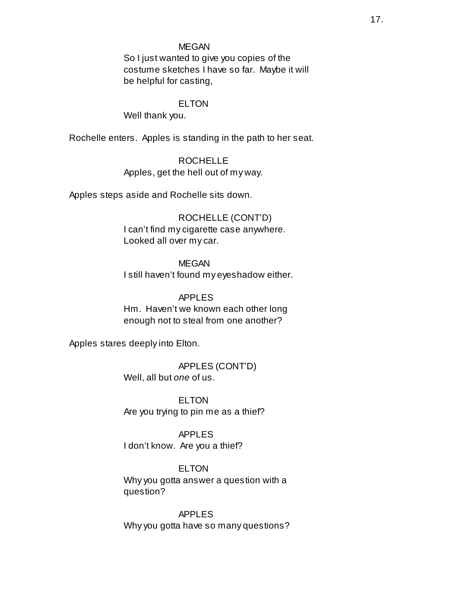#### MEGAN

So I just wanted to give you copies of the costume sketches I have so far. Maybe it will be helpful for casting,

### ELTON

Well thank you.

Rochelle enters. Apples is standing in the path to her seat.

ROCHELLE

Apples, get the hell out of my way.

Apples steps aside and Rochelle sits down.

ROCHELLE (CONT'D) I can't find my cigarette case anywhere. Looked all over my car.

MEGAN I still haven't found my eyeshadow either.

APPLES Hm. Haven't we known each other long enough not to steal from one another?

Apples stares deeply into Elton.

APPLES (CONT'D) Well, all but *one* of us.

ELTON Are you trying to pin me as a thief?

APPLES I don't know. Are you a thief?

ELTON Why you gotta answer a question with a question?

APPLES Why you gotta have so many questions?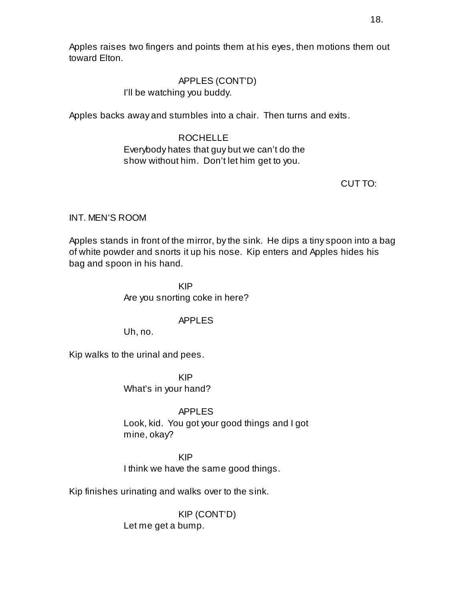Apples raises two fingers and points them at his eyes, then motions them out toward Elton.

# APPLES (CONT'D)

I'll be watching you buddy.

Apples backs away and stumbles into a chair. Then turns and exits.

# ROCHELLE

# Everybody hates that guy but we can't do the show without him. Don't let him get to you.

CUT TO:

# INT. MEN'S ROOM

Apples stands in front of the mirror, by the sink. He dips a tiny spoon into a bag of white powder and snorts it up his nose. Kip enters and Apples hides his bag and spoon in his hand.

> KIP Are you snorting coke in here?

# APPLES

Uh, no.

Kip walks to the urinal and pees.

KIP What's in your hand?

APPLES

Look, kid. You got your good things and I got mine, okay?

KIP I think we have the same good things.

Kip finishes urinating and walks over to the sink.

KIP (CONT'D) Let me get a bump.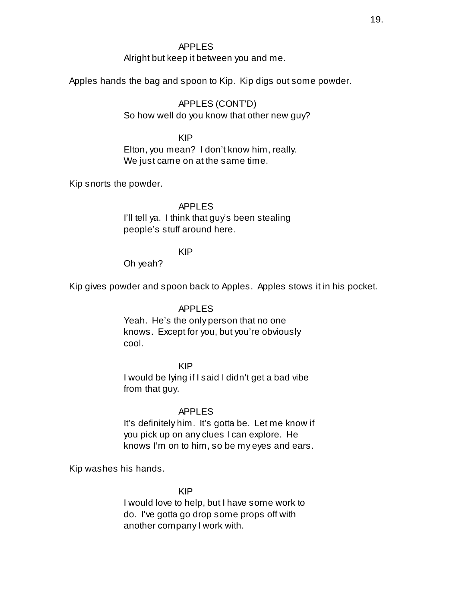## APPLES

Alright but keep it between you and me.

Apples hands the bag and spoon to Kip. Kip digs out some powder.

APPLES (CONT'D) So how well do you know that other new guy?

KIP Elton, you mean? I don't know him, really. We just came on at the same time.

Kip snorts the powder.

#### APPLES

I'll tell ya. I think that guy's been stealing people's stuff around here.

## KIP

Oh yeah?

Kip gives powder and spoon back to Apples. Apples stows it in his pocket.

APPLES Yeah. He's the only person that no one knows. Except for you, but you're obviously cool.

KIP I would be lying if I said I didn't get a bad vibe from that guy.

#### APPLES

It's definitely him. It's gotta be. Let me know if you pick up on any clues I can explore. He knows I'm on to him, so be my eyes and ears.

Kip washes his hands.

KIP

I would love to help, but I have some work to do. I've gotta go drop some props off with another company I work with.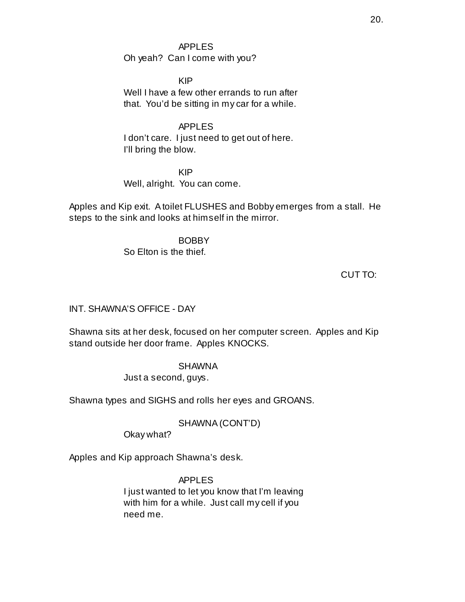APPLES Oh yeah? Can I come with you?

KIP Well I have a few other errands to run after that. You'd be sitting in my car for a while.

APPLES I don't care. I just need to get out of here. I'll bring the blow.

KIP Well, alright. You can come.

Apples and Kip exit. Atoilet FLUSHES and Bobby emerges from a stall. He steps to the sink and looks at himself in the mirror.

> BOBBY So Elton is the thief.

> > CUT TO:

INT. SHAWNA'S OFFICE - DAY

Shawna sits at her desk, focused on her computer screen. Apples and Kip stand outside her door frame. Apples KNOCKS.

> SHAWNA Just a second, guys.

Shawna types and SIGHS and rolls her eyes and GROANS.

SHAWNA(CONT'D)

Okay what?

Apples and Kip approach Shawna's desk.

APPLES I just wanted to let you know that I'm leaving with him for a while. Just call my cell if you need me.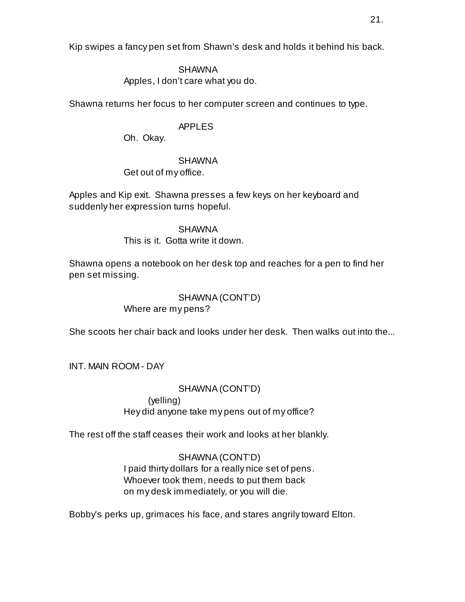Kip swipes a fancy pen set from Shawn's desk and holds it behind his back.

## SHAWNA

Apples, I don't care what you do.

Shawna returns her focus to her computer screen and continues to type.

# APPLES

Oh. Okay.

## SHAWNA

Get out of my office.

Apples and Kip exit. Shawna presses a few keys on her keyboard and suddenly her expression turns hopeful.

> SHAWNA This is it. Gotta write it down.

Shawna opens a notebook on her desk top and reaches for a pen to find her pen set missing.

# SHAWNA(CONT'D)

Where are my pens?

She scoots her chair back and looks under her desk. Then walks out into the...

INT. MAIN ROOM - DAY

SHAWNA(CONT'D) (yelling) Hey did anyone take my pens out of my office?

The rest off the staff ceases their work and looks at her blankly.

# SHAWNA(CONT'D)

I paid thirty dollars for a really nice set of pens. Whoever took them, needs to put them back on my desk immediately, or you will die.

Bobby's perks up, grimaces his face, and stares angrily toward Elton.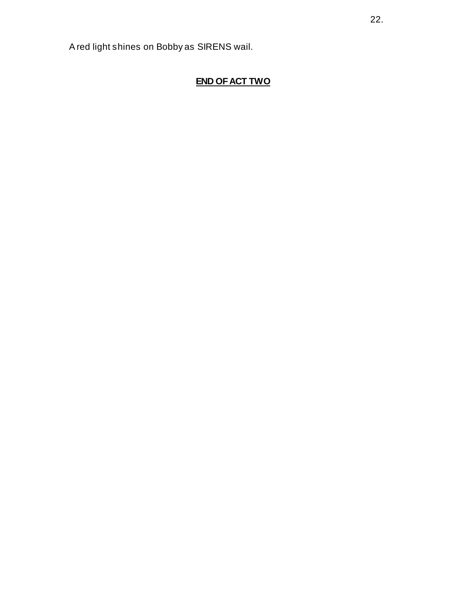A red light shines on Bobby as SIRENS wail.

# **END OF ACT TWO**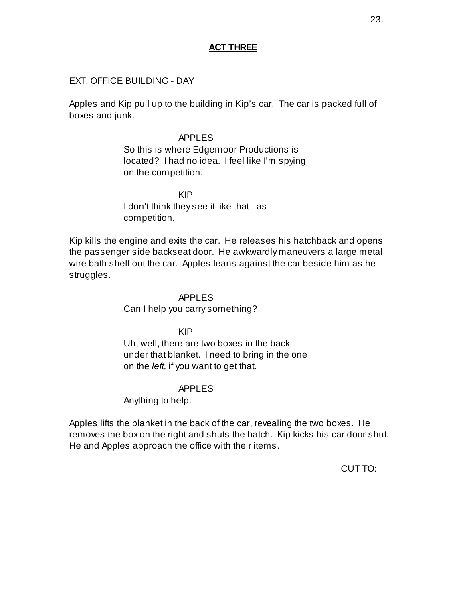## **ACT THREE**

### EXT. OFFICE BUILDING - DAY

Apples and Kip pull up to the building in Kip's car. The car is packed full of boxes and junk.

### APPLES

So this is where Edgemoor Productions is located? I had no idea. I feel like I'm spying on the competition.

KIP I don't think they see it like that - as competition.

Kip kills the engine and exits the car. He releases his hatchback and opens the passenger side backseat door. He awkwardly maneuvers a large metal wire bath shelf out the car. Apples leans against the car beside him as he struggles.

> APPLES Can I help you carry something?

> > KIP

Uh, well, there are two boxes in the back under that blanket. I need to bring in the one on the *left,* if you want to get that.

#### APPLES

Anything to help.

Apples lifts the blanket in the back of the car, revealing the two boxes. He removes the box on the right and shuts the hatch. Kip kicks his car door shut. He and Apples approach the office with their items.

CUT TO: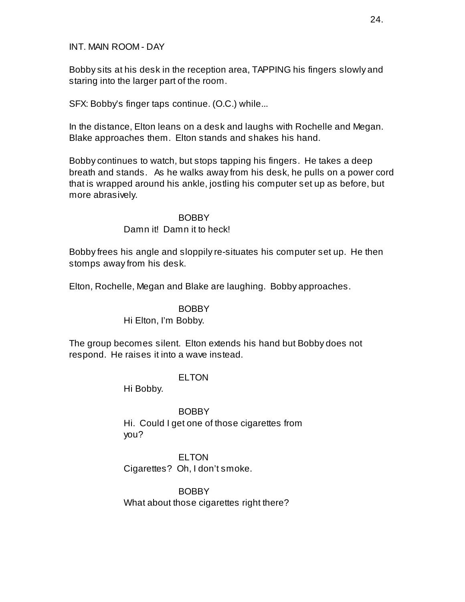INT. MAIN ROOM - DAY

Bobby sits at his desk in the reception area, TAPPING his fingers slowly and staring into the larger part of the room.

SFX: Bobby's finger taps continue. (O.C.) while...

In the distance, Elton leans on a desk and laughs with Rochelle and Megan. Blake approaches them. Elton stands and shakes his hand.

Bobby continues to watch, but stops tapping his fingers. He takes a deep breath and stands. As he walks away from his desk, he pulls on a power cord that is wrapped around his ankle, jostling his computer set up as before, but more abrasively.

> BOBBY Damn it! Damn it to heck!

Bobby frees his angle and sloppily re-situates his computer set up. He then stomps away from his desk.

Elton, Rochelle, Megan and Blake are laughing. Bobby approaches.

**BOBBY** 

Hi Elton, I'm Bobby.

The group becomes silent. Elton extends his hand but Bobby does not respond. He raises it into a wave instead.

ELTON

Hi Bobby.

BOBBY Hi. Could I get one of those cigarettes from you?

**ELTON** Cigarettes? Oh, I don't smoke.

BOBBY What about those cigarettes right there?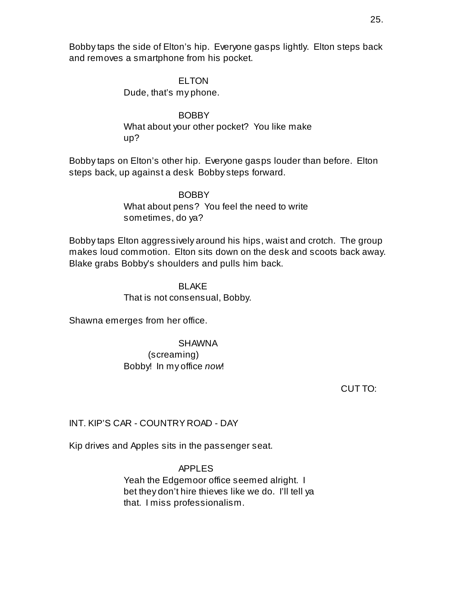Bobby taps the side of Elton's hip. Everyone gasps lightly. Elton steps back and removes a smartphone from his pocket.

#### **ELTON**

Dude, that's my phone.

BOBBY What about your other pocket? You like make up?

Bobby taps on Elton's other hip. Everyone gasps louder than before. Elton steps back, up against a desk Bobby steps forward.

> BOBBY What about pens? You feel the need to write sometimes, do ya?

Bobby taps Elton aggressively around his hips, waist and crotch. The group makes loud commotion. Elton sits down on the desk and scoots back away. Blake grabs Bobby's shoulders and pulls him back.

> BLAKE That is not consensual, Bobby.

Shawna emerges from her office.

## SHAWNA (screaming) Bobby! In my office *now*!

CUT TO:

## INT. KIP'S CAR - COUNTRY ROAD - DAY

Kip drives and Apples sits in the passenger seat.

APPLES Yeah the Edgemoor office seemed alright. I bet they don't hire thieves like we do. I'll tell ya that. I miss professionalism.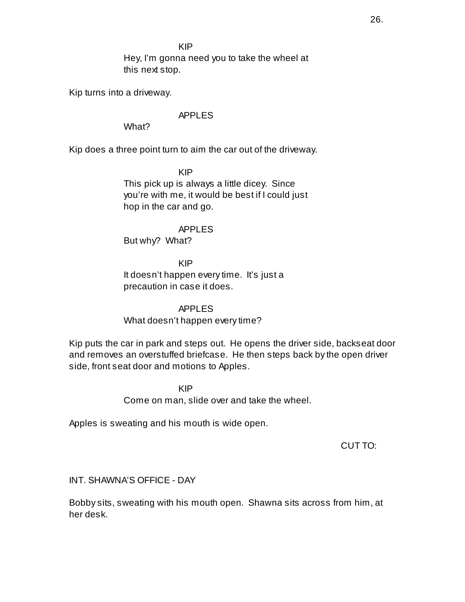KIP

Hey, I'm gonna need you to take the wheel at this next stop.

Kip turns into a driveway.

## APPLES

What?

Kip does a three point turn to aim the car out of the driveway.

KIP

This pick up is always a little dicey. Since you're with me, it would be best if I could just hop in the car and go.

APPLES But why? What?

KIP It doesn't happen every time. It's just a precaution in case it does.

APPLES What doesn't happen every time?

Kip puts the car in park and steps out. He opens the driver side, backseat door and removes an overstuffed briefcase. He then steps back by the open driver side, front seat door and motions to Apples.

> KIP Come on man, slide over and take the wheel.

Apples is sweating and his mouth is wide open.

CUT TO:

INT. SHAWNA'S OFFICE - DAY

Bobby sits, sweating with his mouth open. Shawna sits across from him, at her desk.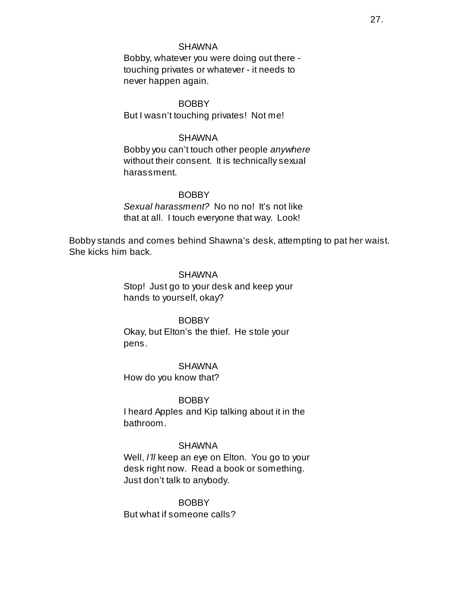#### SHAWNA

Bobby, whatever you were doing out there touching privates or whatever - it needs to never happen again.

**BOBBY** But I wasn't touching privates! Not me!

#### SHAWNA

Bobby you can't touch other people *anywhere* without their consent. It is technically sexual harassment.

#### **BOBBY**

*Sexual harassment?* No no no! It's not like that at all. I touch everyone that way. Look!

Bobby stands and comes behind Shawna's desk, attempting to pat her waist. She kicks him back.

#### SHAWNA

Stop! Just go to your desk and keep your hands to yourself, okay?

#### BOBBY

Okay, but Elton's the thief. He stole your pens.

#### SHAWNA

How do you know that?

#### BOBBY

I heard Apples and Kip talking about it in the bathroom.

#### SHAWNA

Well, *I'll* keep an eye on Elton. You go to your desk right now. Read a book or something. Just don't talk to anybody.

## BOBBY

But what if someone calls?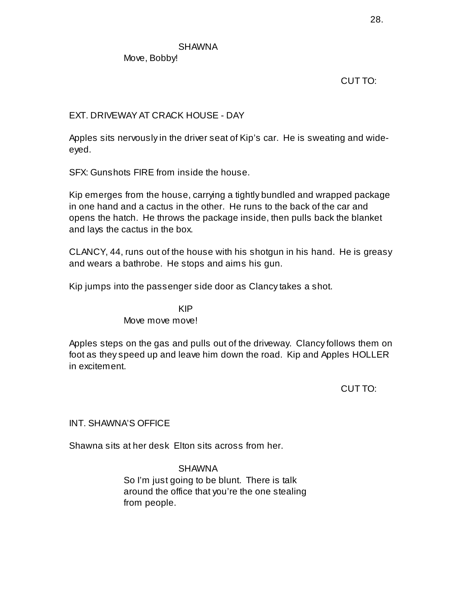**SHAWNA** 

Move, Bobby!

CUT TO:

## EXT. DRIVEWAY AT CRACK HOUSE - DAY

Apples sits nervously in the driver seat of Kip's car. He is sweating and wideeyed.

SFX: Gunshots FIRE from inside the house.

Kip emerges from the house, carrying a tightly bundled and wrapped package in one hand and a cactus in the other. He runs to the back of the car and opens the hatch. He throws the package inside, then pulls back the blanket and lays the cactus in the box.

CLANCY, 44, runs out of the house with his shotgun in his hand. He is greasy and wears a bathrobe. He stops and aims his gun.

Kip jumps into the passenger side door as Clancy takes a shot.

KIP Move move move!

Apples steps on the gas and pulls out of the driveway. Clancy follows them on foot as they speed up and leave him down the road. Kip and Apples HOLLER in excitement.

CUT TO:

INT. SHAWNA'S OFFICE

Shawna sits at her desk Elton sits across from her.

SHAWNA So I'm just going to be blunt. There is talk around the office that you're the one stealing from people.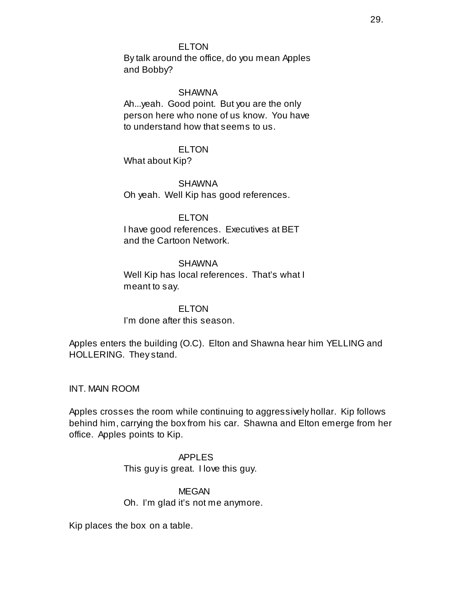### ELTON

By talk around the office, do you mean Apples and Bobby?

#### SHAWNA

Ah...yeah. Good point. But you are the only person here who none of us know. You have to understand how that seems to us.

#### ELTON

What about Kip?

SHAWNA

Oh yeah. Well Kip has good references.

## ELTON

I have good references. Executives at BET and the Cartoon Network.

#### **SHAWNA**

Well Kip has local references. That's what I meant to say.

**ELTON** I'm done after this season.

Apples enters the building (O.C). Elton and Shawna hear him YELLING and HOLLERING. They stand.

INT. MAIN ROOM

Apples crosses the room while continuing to aggressively hollar. Kip follows behind him, carrying the box from his car. Shawna and Elton emerge from her office. Apples points to Kip.

> APPLES This guy is great. I love this guy.

**MEGAN** Oh. I'm glad it's not me anymore.

Kip places the box on a table.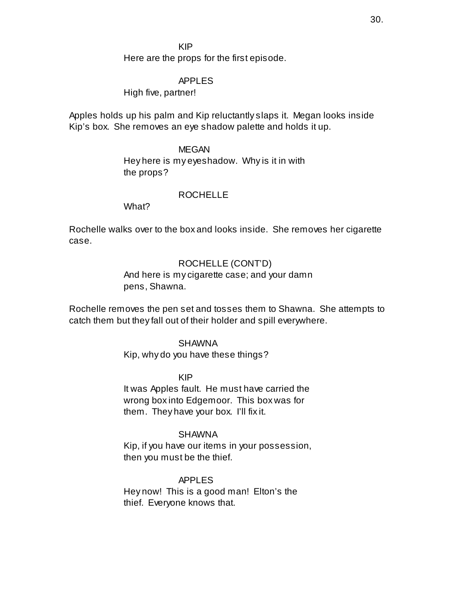KIP

Here are the props for the first episode.

#### APPLES

High five, partner!

Apples holds up his palm and Kip reluctantly slaps it. Megan looks inside Kip's box. She removes an eye shadow palette and holds it up.

#### MEGAN

Hey here is my eyeshadow. Why is it in with the props?

#### ROCHELLE

What?

Rochelle walks over to the box and looks inside. She removes her cigarette case.

## ROCHELLE (CONT'D)

And here is my cigarette case; and your damn pens, Shawna.

Rochelle removes the pen set and tosses them to Shawna. She attempts to catch them but they fall out of their holder and spill everywhere.

#### **SHAWNA**

Kip, why do you have these things?

#### KIP

It was Apples fault. He must have carried the wrong box into Edgemoor. This box was for them. They have your box. I'll fix it.

#### SHAWNA

Kip, if you have our items in your possession, then you must be the thief.

#### APPLES

Hey now! This is a good man! Elton's the thief. Everyone knows that.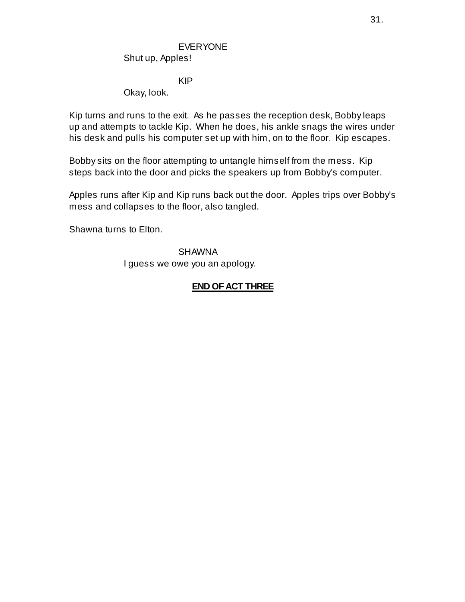# EVERYONE

Shut up, Apples!

KIP

Okay, look.

Kip turns and runs to the exit. As he passes the reception desk, Bobby leaps up and attempts to tackle Kip. When he does, his ankle snags the wires under his desk and pulls his computer set up with him, on to the floor. Kip escapes.

Bobby sits on the floor attempting to untangle himself from the mess. Kip steps back into the door and picks the speakers up from Bobby's computer.

Apples runs after Kip and Kip runs back out the door. Apples trips over Bobby's mess and collapses to the floor, also tangled.

Shawna turns to Elton.

SHAWNA I guess we owe you an apology.

# **END OF ACT THREE**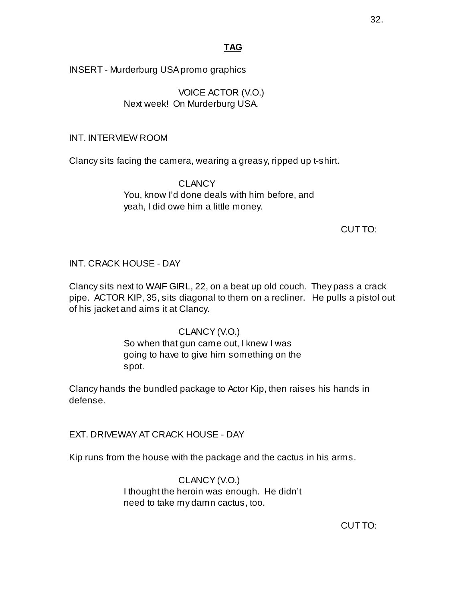# **TAG**

INSERT - Murderburg USA promo graphics

VOICE ACTOR (V.O.) Next week! On Murderburg USA.

## INT. INTERVIEW ROOM

Clancy sits facing the camera, wearing a greasy, ripped up t-shirt.

**CLANCY** You, know I'd done deals with him before, and yeah, I did owe him a little money.

## CUT TO:

## INT. CRACK HOUSE - DAY

Clancy sits next to WAIF GIRL, 22, on a beat up old couch. They pass a crack pipe. ACTOR KIP, 35, sits diagonal to them on a recliner. He pulls a pistol out of his jacket and aims it at Clancy.

## CLANCY(V.O.)

So when that gun came out, I knew I was going to have to give him something on the spot.

Clancy hands the bundled package to Actor Kip, then raises his hands in defense.

EXT. DRIVEWAY AT CRACK HOUSE - DAY

Kip runs from the house with the package and the cactus in his arms.

CLANCY(V.O.) I thought the heroin was enough. He didn't need to take my damn cactus, too.

CUT TO: